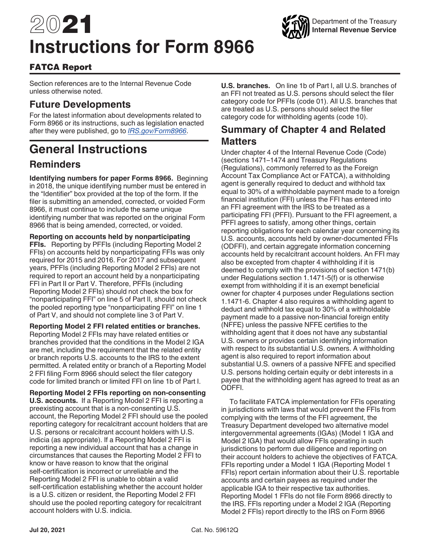# 2021 **Instructions for Form 8966**



Section references are to the Internal Revenue Code unless otherwise noted.

## **Future Developments**

For the latest information about developments related to Form 8966 or its instructions, such as legislation enacted after they were published, go to *[IRS.gov/Form8966](https://www.irs.gov/form8966)*.

## **General Instructions**

## **Reminders**

**Identifying numbers for paper Forms 8966.** Beginning in 2018, the unique identifying number must be entered in the "Identifier" box provided at the top of the form. If the filer is submitting an amended, corrected, or voided Form 8966, it must continue to include the same unique identifying number that was reported on the original Form 8966 that is being amended, corrected, or voided.

**Reporting on accounts held by nonparticipating FFIs.** Reporting by PFFIs (including Reporting Model 2 FFIs) on accounts held by nonparticipating FFIs was only required for 2015 and 2016. For 2017 and subsequent years, PFFIs (including Reporting Model 2 FFIs) are not required to report an account held by a nonparticipating FFI in Part II or Part V. Therefore, PFFIs (including Reporting Model 2 FFIs) should not check the box for "nonparticipating FFI" on line 5 of Part II, should not check the pooled reporting type "nonparticipating FFI" on line 1 of Part V, and should not complete line 3 of Part V.

**Reporting Model 2 FFI related entities or branches.**  Reporting Model 2 FFIs may have related entities or branches provided that the conditions in the Model 2 IGA are met, including the requirement that the related entity or branch reports U.S. accounts to the IRS to the extent permitted. A related entity or branch of a Reporting Model 2 FFI filing Form 8966 should select the filer category code for limited branch or limited FFI on line 1b of Part I.

**Reporting Model 2 FFIs reporting on non-consenting U.S. accounts.** If a Reporting Model 2 FFI is reporting a preexisting account that is a non-consenting U.S. account, the Reporting Model 2 FFI should use the pooled reporting category for recalcitrant account holders that are U.S. persons or recalcitrant account holders with U.S. indicia (as appropriate). If a Reporting Model 2 FFI is reporting a new individual account that has a change in circumstances that causes the Reporting Model 2 FFI to know or have reason to know that the original self-certification is incorrect or unreliable and the Reporting Model 2 FFI is unable to obtain a valid self-certification establishing whether the account holder is a U.S. citizen or resident, the Reporting Model 2 FFI should use the pooled reporting category for recalcitrant account holders with U.S. indicia.

**U.S. branches.** On line 1b of Part I, all U.S. branches of an FFI not treated as U.S. persons should select the filer category code for PFFIs (code 01). All U.S. branches that are treated as U.S. persons should select the filer category code for withholding agents (code 10).

Department of the Treasury **Internal Revenue Service**

## **Summary of Chapter 4 and Related Matters**

Under chapter 4 of the Internal Revenue Code (Code) (sections 1471–1474 and Treasury Regulations (Regulations), commonly referred to as the Foreign Account Tax Compliance Act or FATCA), a withholding agent is generally required to deduct and withhold tax equal to 30% of a withholdable payment made to a foreign financial institution (FFI) unless the FFI has entered into an FFI agreement with the IRS to be treated as a participating FFI (PFFI). Pursuant to the FFI agreement, a PFFI agrees to satisfy, among other things, certain reporting obligations for each calendar year concerning its U.S. accounts, accounts held by owner-documented FFIs (ODFFI), and certain aggregate information concerning accounts held by recalcitrant account holders. An FFI may also be excepted from chapter 4 withholding if it is deemed to comply with the provisions of section 1471(b) under Regulations section 1.1471-5(f) or is otherwise exempt from withholding if it is an exempt beneficial owner for chapter 4 purposes under Regulations section 1.1471-6. Chapter 4 also requires a withholding agent to deduct and withhold tax equal to 30% of a withholdable payment made to a passive non-financial foreign entity (NFFE) unless the passive NFFE certifies to the withholding agent that it does not have any substantial U.S. owners or provides certain identifying information with respect to its substantial U.S. owners. A withholding agent is also required to report information about substantial U.S. owners of a passive NFFE and specified U.S. persons holding certain equity or debt interests in a payee that the withholding agent has agreed to treat as an ODFFI.

To facilitate FATCA implementation for FFIs operating in jurisdictions with laws that would prevent the FFIs from complying with the terms of the FFI agreement, the Treasury Department developed two alternative model intergovernmental agreements (IGAs) (Model 1 IGA and Model 2 IGA) that would allow FFIs operating in such jurisdictions to perform due diligence and reporting on their account holders to achieve the objectives of FATCA. FFIs reporting under a Model 1 IGA (Reporting Model 1 FFIs) report certain information about their U.S. reportable accounts and certain payees as required under the applicable IGA to their respective tax authorities. Reporting Model 1 FFIs do not file Form 8966 directly to the IRS. FFIs reporting under a Model 2 IGA (Reporting Model 2 FFIs) report directly to the IRS on Form 8966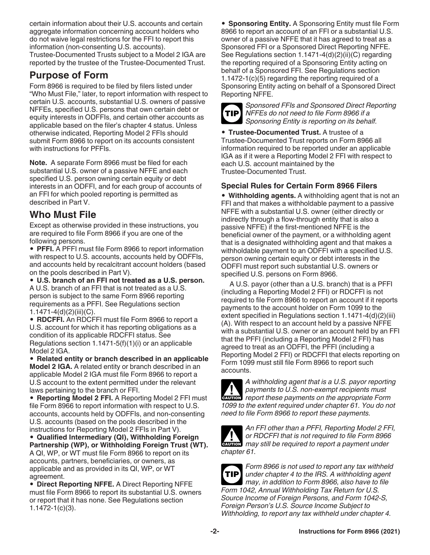certain information about their U.S. accounts and certain aggregate information concerning account holders who do not waive legal restrictions for the FFI to report this information (non-consenting U.S. accounts). Trustee-Documented Trusts subject to a Model 2 IGA are reported by the trustee of the Trustee-Documented Trust.

## **Purpose of Form**

Form 8966 is required to be filed by filers listed under "Who Must File," later, to report information with respect to certain U.S. accounts, substantial U.S. owners of passive NFFEs, specified U.S. persons that own certain debt or equity interests in ODFFIs, and certain other accounts as applicable based on the filer's chapter 4 status. Unless otherwise indicated, Reporting Model 2 FFIs should submit Form 8966 to report on its accounts consistent with instructions for PFFIs.

**Note.** A separate Form 8966 must be filed for each substantial U.S. owner of a passive NFFE and each specified U.S. person owning certain equity or debt interests in an ODFFI, and for each group of accounts of an FFI for which pooled reporting is permitted as described in Part V.

## **Who Must File**

Except as otherwise provided in these instructions, you are required to file Form 8966 if you are one of the following persons.

• **PFFI.** A PFFI must file Form 8966 to report information with respect to U.S. accounts, accounts held by ODFFIs, and accounts held by recalcitrant account holders (based on the pools described in Part V).

• **U.S. branch of an FFI not treated as a U.S. person.**  A U.S. branch of an FFI that is not treated as a U.S. person is subject to the same Form 8966 reporting requirements as a PFFI. See Regulations section 1.1471-4(d)(2)(iii)(C).

• **RDCFFI.** An RDCFFI must file Form 8966 to report a U.S. account for which it has reporting obligations as a condition of its applicable RDCFFI status. See Regulations section  $1.1471-5(f)(1)(i)$  or an applicable Model 2 IGA.

• **Related entity or branch described in an applicable Model 2 IGA.** A related entity or branch described in an applicable Model 2 IGA must file Form 8966 to report a U.S account to the extent permitted under the relevant laws pertaining to the branch or FFI.

• **Reporting Model 2 FFI.** A Reporting Model 2 FFI must file Form 8966 to report information with respect to U.S. accounts, accounts held by ODFFIs, and non-consenting U.S. accounts (based on the pools described in the instructions for Reporting Model 2 FFIs in Part V).

• **Qualified Intermediary (QI), Withholding Foreign Partnership (WP), or Withholding Foreign Trust (WT).**  A QI, WP, or WT must file Form 8966 to report on its accounts, partners, beneficiaries, or owners, as applicable and as provided in its QI, WP, or WT agreement.

• **Direct Reporting NFFE.** A Direct Reporting NFFE must file Form 8966 to report its substantial U.S. owners or report that it has none. See Regulations section 1.1472-1(c)(3).

• **Sponsoring Entity.** A Sponsoring Entity must file Form 8966 to report an account of an FFI or a substantial U.S. owner of a passive NFFE that it has agreed to treat as a Sponsored FFI or a Sponsored Direct Reporting NFFE. See Regulations section 1.1471-4(d)(2)(ii)(C) regarding the reporting required of a Sponsoring Entity acting on behalf of a Sponsored FFI. See Regulations section 1.1472-1(c)(5) regarding the reporting required of a Sponsoring Entity acting on behalf of a Sponsored Direct Reporting NFFE.



*Sponsored FFIs and Sponsored Direct Reporting NFFEs do not need to file Form 8966 if a Sponsoring Entity is reporting on its behalf.*

• **Trustee-Documented Trust.** A trustee of a Trustee-Documented Trust reports on Form 8966 all information required to be reported under an applicable IGA as if it were a Reporting Model 2 FFI with respect to each U.S. account maintained by the Trustee-Documented Trust.

## **Special Rules for Certain Form 8966 Filers**

• **Withholding agents.** A withholding agent that is not an FFI and that makes a withholdable payment to a passive NFFE with a substantial U.S. owner (either directly or indirectly through a flow-through entity that is also a passive NFFE) if the first-mentioned NFFE is the beneficial owner of the payment, or a withholding agent that is a designated withholding agent and that makes a withholdable payment to an ODFFI with a specified U.S. person owning certain equity or debt interests in the ODFFI must report such substantial U.S. owners or specified U.S. persons on Form 8966.

A U.S. payor (other than a U.S. branch) that is a PFFI (including a Reporting Model 2 FFI) or RDCFFI is not required to file Form 8966 to report an account if it reports payments to the account holder on Form 1099 to the extent specified in Regulations section 1.1471-4(d)(2)(iii) (A). With respect to an account held by a passive NFFE with a substantial U.S. owner or an account held by an FFI that the PFFI (including a Reporting Model 2 FFI) has agreed to treat as an ODFFI, the PFFI (including a Reporting Model 2 FFI) or RDCFFI that elects reporting on Form 1099 must still file Form 8966 to report such accounts.



*A withholding agent that is a U.S. payor reporting payments to U.S. non-exempt recipients must*  **Proportance** *report these payments on the appropriate Form 1099 to the extent required under chapter 61. You do not need to file Form 8966 to report these payments.*



*An FFI other than a PFFI, Reporting Model 2 FFI, or RDCFFI that is not required to file Form 8966*  or RDCFFI that is not required to file Form 8966 *chapter 61.*



*Form 8966 is not used to report any tax withheld under chapter 4 to the IRS. A withholding agent may, in addition to Form 8966, also have to file Form 1042, Annual Withholding Tax Return for U.S. Source Income of Foreign Persons, and Form 1042-S, Foreign Person's U.S. Source Income Subject to Withholding, to report any tax withheld under chapter 4.*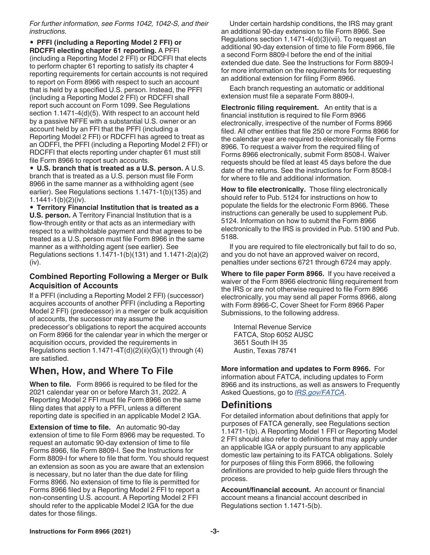*For further information, see Forms 1042, 1042-S, and their instructions.*

• **PFFI (including a Reporting Model 2 FFI) or RDCFFI electing chapter 61 reporting.** A PFFI (including a Reporting Model 2 FFI) or RDCFFI that elects to perform chapter 61 reporting to satisfy its chapter 4 reporting requirements for certain accounts is not required to report on Form 8966 with respect to such an account that is held by a specified U.S. person. Instead, the PFFI (including a Reporting Model 2 FFI) or RDCFFI shall report such account on Form 1099. See Regulations section 1.1471-4(d)(5). With respect to an account held by a passive NFFE with a substantial U.S. owner or an account held by an FFI that the PFFI (including a Reporting Model 2 FFI) or RDCFFI has agreed to treat as an ODFFI, the PFFI (including a Reporting Model 2 FFI) or RDCFFI that elects reporting under chapter 61 must still file Form 8966 to report such accounts.

• **U.S. branch that is treated as a U.S. person.** A U.S. branch that is treated as a U.S. person must file Form 8966 in the same manner as a withholding agent (see earlier). See Regulations sections 1.1471-1(b)(135) and 1.1441-1(b)(2)(iv).

• **Territory Financial Institution that is treated as a U.S. person.** A Territory Financial Institution that is a flow-through entity or that acts as an intermediary with respect to a withholdable payment and that agrees to be treated as a U.S. person must file Form 8966 in the same manner as a withholding agent (see earlier). See Regulations sections 1.1471-1(b)(131) and 1.1471-2(a)(2) (iv).

#### **Combined Reporting Following a Merger or Bulk Acquisition of Accounts**

If a PFFI (including a Reporting Model 2 FFI) (successor) acquires accounts of another PFFI (including a Reporting Model 2 FFI) (predecessor) in a merger or bulk acquisition of accounts, the successor may assume the predecessor's obligations to report the acquired accounts on Form 8966 for the calendar year in which the merger or acquisition occurs, provided the requirements in Regulations section  $1.1471 - 4T(d)(2)(ii)(G)(1)$  through  $(4)$ are satisfied.

## **When, How, and Where To File**

**When to file.** Form 8966 is required to be filed for the 2021 calendar year on or before March 31, 2022. A Reporting Model 2 FFI must file Form 8966 on the same filing dates that apply to a PFFI, unless a different reporting date is specified in an applicable Model 2 IGA.

**Extension of time to file.** An automatic 90-day extension of time to file Form 8966 may be requested. To request an automatic 90-day extension of time to file Forms 8966, file Form 8809-I. See the Instructions for Form 8809-I for where to file that form. You should request an extension as soon as you are aware that an extension is necessary, but no later than the due date for filing Forms 8966. No extension of time to file is permitted for Forms 8966 filed by a Reporting Model 2 FFI to report a non-consenting U.S. account. A Reporting Model 2 FFI should refer to the applicable Model 2 IGA for the due dates for those filings.

Under certain hardship conditions, the IRS may grant an additional 90-day extension to file Form 8966. See Regulations section 1.1471-4(d)(3)(vii). To request an additional 90-day extension of time to file Form 8966, file a second Form 8809-I before the end of the initial extended due date. See the Instructions for Form 8809-I for more information on the requirements for requesting an additional extension for filing Form 8966.

Each branch requesting an automatic or additional extension must file a separate Form 8809-I.

**Electronic filing requirement.** An entity that is a financial institution is required to file Form 8966 electronically, irrespective of the number of Forms 8966 filed. All other entities that file 250 or more Forms 8966 for the calendar year are required to electronically file Forms 8966. To request a waiver from the required filing of Forms 8966 electronically, submit Form 8508-I. Waiver requests should be filed at least 45 days before the due date of the returns. See the instructions for Form 8508-I for where to file and additional information.

**How to file electronically.** Those filing electronically should refer to Pub. 5124 for instructions on how to populate the fields for the electronic Form 8966. These instructions can generally be used to supplement Pub. 5124. Information on how to submit the Form 8966 electronically to the IRS is provided in Pub. 5190 and Pub. 5188.

If you are required to file electronically but fail to do so, and you do not have an approved waiver on record, penalties under sections 6721 through 6724 may apply.

**Where to file paper Form 8966.** If you have received a waiver of the Form 8966 electronic filing requirement from the IRS or are not otherwise required to file Form 8966 electronically, you may send all paper Forms 8966, along with Form 8966-C, Cover Sheet for Form 8966 Paper Submissions, to the following address.

Internal Revenue Service FATCA, Stop 6052 AUSC 3651 South IH 35 Austin, Texas 78741

**More information and updates to Form 8966.** For information about FATCA, including updates to Form 8966 and its instructions, as well as answers to Frequently Asked Questions, go to *[IRS.gov/FATCA](https://www.irs.gov/fatca)*.

## **Definitions**

For detailed information about definitions that apply for purposes of FATCA generally, see Regulations section 1.1471-1(b). A Reporting Model 1 FFI or Reporting Model 2 FFI should also refer to definitions that may apply under an applicable IGA or apply pursuant to any applicable domestic law pertaining to its FATCA obligations. Solely for purposes of filing this Form 8966, the following definitions are provided to help guide filers through the process.

**Account/financial account.** An account or financial account means a financial account described in Regulations section 1.1471-5(b).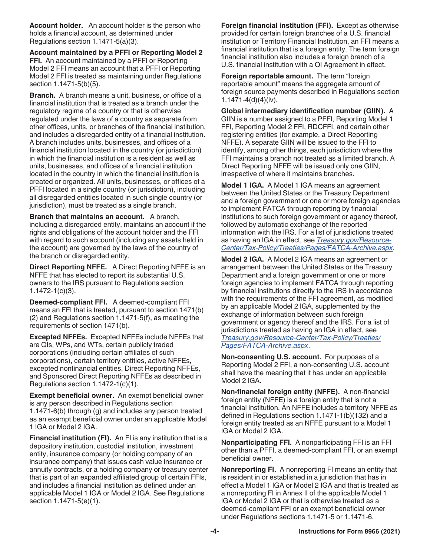**Account holder.** An account holder is the person who holds a financial account, as determined under Regulations section 1.1471-5(a)(3).

**Account maintained by a PFFI or Reporting Model 2 FFI.** An account maintained by a PFFI or Reporting Model 2 FFI means an account that a PFFI or Reporting Model 2 FFI is treated as maintaining under Regulations section 1.1471-5(b)(5).

**Branch.** A branch means a unit, business, or office of a financial institution that is treated as a branch under the regulatory regime of a country or that is otherwise regulated under the laws of a country as separate from other offices, units, or branches of the financial institution, and includes a disregarded entity of a financial institution. A branch includes units, businesses, and offices of a financial institution located in the country (or jurisdiction) in which the financial institution is a resident as well as units, businesses, and offices of a financial institution located in the country in which the financial institution is created or organized. All units, businesses, or offices of a PFFI located in a single country (or jurisdiction), including all disregarded entities located in such single country (or jurisdiction), must be treated as a single branch.

**Branch that maintains an account.** A branch, including a disregarded entity, maintains an account if the rights and obligations of the account holder and the FFI with regard to such account (including any assets held in the account) are governed by the laws of the country of the branch or disregarded entity.

**Direct Reporting NFFE.** A Direct Reporting NFFE is an NFFE that has elected to report its substantial U.S. owners to the IRS pursuant to Regulations section 1.1472-1(c)(3).

**Deemed-compliant FFI.** A deemed-compliant FFI means an FFI that is treated, pursuant to section 1471(b) (2) and Regulations section 1.1471-5(f), as meeting the requirements of section 1471(b).

**Excepted NFFEs.** Excepted NFFEs include NFFEs that are QIs, WPs, and WTs, certain publicly traded corporations (including certain affiliates of such corporations), certain territory entities, active NFFEs, excepted nonfinancial entities, Direct Reporting NFFEs, and Sponsored Direct Reporting NFFEs as described in Regulations section 1.1472-1(c)(1).

**Exempt beneficial owner.** An exempt beneficial owner is any person described in Regulations section 1.1471-6(b) through (g) and includes any person treated as an exempt beneficial owner under an applicable Model 1 IGA or Model 2 IGA.

**Financial institution (FI).** An FI is any institution that is a depository institution, custodial institution, investment entity, insurance company (or holding company of an insurance company) that issues cash value insurance or annuity contracts, or a holding company or treasury center that is part of an expanded affiliated group of certain FFIs, and includes a financial institution as defined under an applicable Model 1 IGA or Model 2 IGA. See Regulations section 1.1471-5(e)(1).

**Foreign financial institution (FFI).** Except as otherwise provided for certain foreign branches of a U.S. financial institution or Territory Financial Institution, an FFI means a financial institution that is a foreign entity. The term foreign financial institution also includes a foreign branch of a U.S. financial institution with a QI Agreement in effect.

**Foreign reportable amount.** The term "foreign reportable amount" means the aggregate amount of foreign source payments described in Regulations section 1.1471-4(d)(4)(iv).

**Global intermediary identification number (GIIN).** A GIIN is a number assigned to a PFFI, Reporting Model 1 FFI, Reporting Model 2 FFI, RDCFFI, and certain other registering entities (for example, a Direct Reporting NFFE). A separate GIIN will be issued to the FFI to identify, among other things, each jurisdiction where the FFI maintains a branch not treated as a limited branch. A Direct Reporting NFFE will be issued only one GIIN, irrespective of where it maintains branches.

**Model 1 IGA.** A Model 1 IGA means an agreement between the United States or the Treasury Department and a foreign government or one or more foreign agencies to implement FATCA through reporting by financial institutions to such foreign government or agency thereof, followed by automatic exchange of the reported information with the IRS. For a list of jurisdictions treated as having an IGA in effect, see *[Treasury.gov/Resource-](http://www.treasury.gov/resource-center/tax-policy/treaties/Pages/FATCA-Archive.aspx)[Center/Tax-Policy/Treaties/Pages/FATCA-Archive.aspx](http://www.treasury.gov/resource-center/tax-policy/treaties/Pages/FATCA-Archive.aspx)*.

**Model 2 IGA.** A Model 2 IGA means an agreement or arrangement between the United States or the Treasury Department and a foreign government or one or more foreign agencies to implement FATCA through reporting by financial institutions directly to the IRS in accordance with the requirements of the FFI agreement, as modified by an applicable Model 2 IGA, supplemented by the exchange of information between such foreign government or agency thereof and the IRS. For a list of jurisdictions treated as having an IGA in effect, see *[Treasury.gov/Resource-Center/Tax-Policy/Treaties/](http://www.treasury.gov/resource-center/tax-policy/treaties/Pages/FATCA-Archive.aspx) [Pages/FATCA-Archive.aspx](http://www.treasury.gov/resource-center/tax-policy/treaties/Pages/FATCA-Archive.aspx)*.

**Non-consenting U.S. account.** For purposes of a Reporting Model 2 FFI, a non-consenting U.S. account shall have the meaning that it has under an applicable Model 2 IGA.

**Non-financial foreign entity (NFFE).** A non-financial foreign entity (NFFE) is a foreign entity that is not a financial institution. An NFFE includes a territory NFFE as defined in Regulations section 1.1471-1(b)(132) and a foreign entity treated as an NFFE pursuant to a Model 1 IGA or Model 2 IGA.

**Nonparticipating FFI.** A nonparticipating FFI is an FFI other than a PFFI, a deemed-compliant FFI, or an exempt beneficial owner.

**Nonreporting FI.** A nonreporting FI means an entity that is resident in or established in a jurisdiction that has in effect a Model 1 IGA or Model 2 IGA and that is treated as a nonreporting FI in Annex II of the applicable Model 1 IGA or Model 2 IGA or that is otherwise treated as a deemed-compliant FFI or an exempt beneficial owner under Regulations sections 1.1471-5 or 1.1471-6.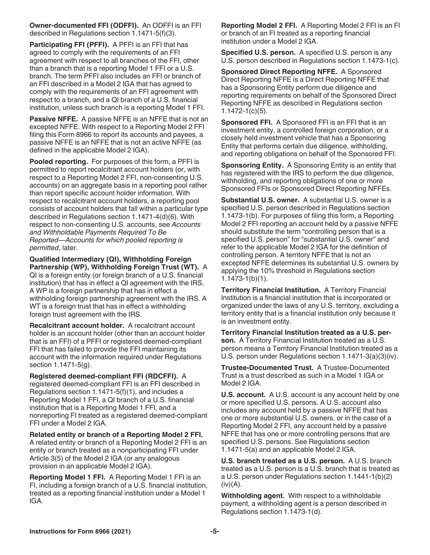**Owner-documented FFI (ODFFI).** An ODFFI is an FFI described in Regulations section 1.1471-5(f)(3).

**Participating FFI (PFFI).** A PFFI is an FFI that has agreed to comply with the requirements of an FFI agreement with respect to all branches of the FFI, other than a branch that is a reporting Model 1 FFI or a U.S. branch. The term PFFI also includes an FFI or branch of an FFI described in a Model 2 IGA that has agreed to comply with the requirements of an FFI agreement with respect to a branch, and a QI branch of a U.S. financial institution, unless such branch is a reporting Model 1 FFI.

**Passive NFFE.** A passive NFFE is an NFFE that is not an excepted NFFE. With respect to a Reporting Model 2 FFI filing this Form 8966 to report its accounts and payees, a passive NFFE is an NFFE that is not an active NFFE (as defined in the applicable Model 2 IGA).

**Pooled reporting.** For purposes of this form, a PFFI is permitted to report recalcitrant account holders (or, with respect to a Reporting Model 2 FFI, non-consenting U.S. accounts) on an aggregate basis in a reporting pool rather than report specific account holder information. With respect to recalcitrant account holders, a reporting pool consists of account holders that fall within a particular type described in Regulations section 1.1471-4(d)(6). With respect to non-consenting U.S. accounts, see *Accounts and Withholdable Payments Required To Be Reported—Accounts for which pooled reporting is permitted*, later.

**Qualified Intermediary (QI), Withholding Foreign Partnership (WP), Withholding Foreign Trust (WT).** A QI is a foreign entity (or foreign branch of a U.S. financial institution) that has in effect a QI agreement with the IRS. A WP is a foreign partnership that has in effect a withholding foreign partnership agreement with the IRS. A WT is a foreign trust that has in effect a withholding foreign trust agreement with the IRS.

**Recalcitrant account holder.** A recalcitrant account holder is an account holder (other than an account holder that is an FFI) of a PFFI or registered deemed-compliant FFI that has failed to provide the FFI maintaining its account with the information required under Regulations section 1.1471-5(g).

**Registered deemed-compliant FFI (RDCFFI).** A registered deemed-compliant FFI is an FFI described in Regulations section 1.1471-5(f)(1), and includes a Reporting Model 1 FFI, a QI branch of a U.S. financial institution that is a Reporting Model 1 FFI, and a nonreporting FI treated as a registered deemed-compliant FFI under a Model 2 IGA.

**Related entity or branch of a Reporting Model 2 FFI.**  A related entity or branch of a Reporting Model 2 FFI is an entity or branch treated as a nonparticipating FFI under Article 3(5) of the Model 2 IGA (or any analogous provision in an applicable Model 2 IGA).

**Reporting Model 1 FFI.** A Reporting Model 1 FFI is an FI, including a foreign branch of a U.S. financial institution, treated as a reporting financial institution under a Model 1 IGA.

**Reporting Model 2 FFI.** A Reporting Model 2 FFI is an FI or branch of an FI treated as a reporting financial institution under a Model 2 IGA.

**Specified U.S. person.** A specified U.S. person is any U.S. person described in Regulations section 1.1473-1(c).

**Sponsored Direct Reporting NFFE.** A Sponsored Direct Reporting NFFE is a Direct Reporting NFFE that has a Sponsoring Entity perform due diligence and reporting requirements on behalf of the Sponsored Direct Reporting NFFE as described in Regulations section 1.1472-1(c)(5).

**Sponsored FFI.** A Sponsored FFI is an FFI that is an investment entity, a controlled foreign corporation, or a closely held investment vehicle that has a Sponsoring Entity that performs certain due diligence, withholding, and reporting obligations on behalf of the Sponsored FFI.

**Sponsoring Entity.** A Sponsoring Entity is an entity that has registered with the IRS to perform the due diligence, withholding, and reporting obligations of one or more Sponsored FFIs or Sponsored Direct Reporting NFFEs.

**Substantial U.S. owner.** A substantial U.S. owner is a specified U.S. person described in Regulations section 1.1473-1(b). For purposes of filing this form, a Reporting Model 2 FFI reporting an account held by a passive NFFE should substitute the term "controlling person that is a specified U.S. person" for "substantial U.S. owner" and refer to the applicable Model 2 IGA for the definition of controlling person. A territory NFFE that is not an excepted NFFE determines its substantial U.S. owners by applying the 10% threshold in Regulations section 1.1473-1(b)(1).

**Territory Financial Institution.** A Territory Financial Institution is a financial institution that is incorporated or organized under the laws of any U.S. territory, excluding a territory entity that is a financial institution only because it is an investment entity.

**Territory Financial Institution treated as a U.S. person.** A Territory Financial Institution treated as a U.S. person means a Territory Financial Institution treated as a U.S. person under Regulations section 1.1471-3(a)(3)(iv).

**Trustee-Documented Trust.** A Trustee-Documented Trust is a trust described as such in a Model 1 IGA or Model 2 IGA.

**U.S. account.** A U.S. account is any account held by one or more specified U.S. persons. A U.S. account also includes any account held by a passive NFFE that has one or more substantial U.S. owners, or in the case of a Reporting Model 2 FFI, any account held by a passive NFFE that has one or more controlling persons that are specified U.S. persons. See Regulations section 1.1471-5(a) and an applicable Model 2 IGA.

**U.S. branch treated as a U.S. person.** A U.S. branch treated as a U.S. person is a U.S. branch that is treated as a U.S. person under Regulations section 1.1441-1(b)(2)  $(iv)(A)$ .

**Withholding agent.** With respect to a withholdable payment, a withholding agent is a person described in Regulations section 1.1473-1(d).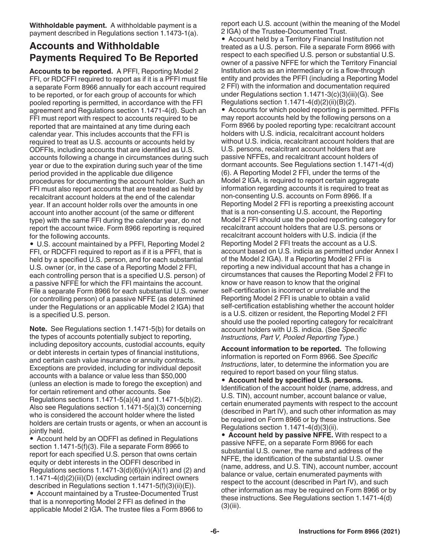**Withholdable payment.** A withholdable payment is a payment described in Regulations section 1.1473-1(a).

## **Accounts and Withholdable Payments Required To Be Reported**

**Accounts to be reported.** A PFFI, Reporting Model 2 FFI, or RDCFFI required to report as if it is a PFFI must file a separate Form 8966 annually for each account required to be reported, or for each group of accounts for which pooled reporting is permitted, in accordance with the FFI agreement and Regulations section 1.1471-4(d). Such an FFI must report with respect to accounts required to be reported that are maintained at any time during each calendar year. This includes accounts that the FFI is required to treat as U.S. accounts or accounts held by ODFFIs, including accounts that are identified as U.S. accounts following a change in circumstances during such year or due to the expiration during such year of the time period provided in the applicable due diligence procedures for documenting the account holder. Such an FFI must also report accounts that are treated as held by recalcitrant account holders at the end of the calendar year. If an account holder rolls over the amounts in one account into another account (of the same or different type) with the same FFI during the calendar year, do not report the account twice. Form 8966 reporting is required for the following accounts.

• U.S. account maintained by a PFFI, Reporting Model 2 FFI, or RDCFFI required to report as if it is a PFFI, that is held by a specified U.S. person, and for each substantial U.S. owner (or, in the case of a Reporting Model 2 FFI, each controlling person that is a specified U.S. person) of a passive NFFE for which the FFI maintains the account. File a separate Form 8966 for each substantial U.S. owner (or controlling person) of a passive NFFE (as determined under the Regulations or an applicable Model 2 IGA) that is a specified U.S. person.

**Note.** See Regulations section 1.1471-5(b) for details on the types of accounts potentially subject to reporting, including depository accounts, custodial accounts, equity or debt interests in certain types of financial institutions, and certain cash value insurance or annuity contracts. Exceptions are provided, including for individual deposit accounts with a balance or value less than \$50,000 (unless an election is made to forego the exception) and for certain retirement and other accounts. See Regulations sections 1.1471-5(a)(4) and 1.1471-5(b)(2). Also see Regulations section 1.1471-5(a)(3) concerning who is considered the account holder where the listed holders are certain trusts or agents, or when an account is jointly held.

• Account held by an ODFFI as defined in Regulations section 1.1471-5(f)(3). File a separate Form 8966 to report for each specified U.S. person that owns certain equity or debt interests in the ODFFI described in Regulations sections  $1.1471-3(d)(6)(iv)(A)(1)$  and (2) and 1.1471-4(d)(2)(iii)(D) (excluding certain indirect owners described in Regulations section 1.1471-5(f)(3)(ii)(E)). • Account maintained by a Trustee-Documented Trust

that is a nonreporting Model 2 FFI as defined in the applicable Model 2 IGA. The trustee files a Form 8966 to report each U.S. account (within the meaning of the Model 2 IGA) of the Trustee-Documented Trust.

• Account held by a Territory Financial Institution not treated as a U.S. person. File a separate Form 8966 with respect to each specified U.S. person or substantial U.S. owner of a passive NFFE for which the Territory Financial Institution acts as an intermediary or is a flow-through entity and provides the PFFI (including a Reporting Model 2 FFI) with the information and documentation required under Regulations section 1.1471-3(c)(3)(iii)(G). See Regulations section  $1.1471-4(d)(2)(ii)(B)(2)$ .

• Accounts for which pooled reporting is permitted. PFFIs may report accounts held by the following persons on a Form 8966 by pooled reporting type: recalcitrant account holders with U.S. indicia, recalcitrant account holders without U.S. indicia, recalcitrant account holders that are U.S. persons, recalcitrant account holders that are passive NFFEs, and recalcitrant account holders of dormant accounts. See Regulations section 1.1471-4(d) (6). A Reporting Model 2 FFI, under the terms of the Model 2 IGA, is required to report certain aggregate information regarding accounts it is required to treat as non-consenting U.S. accounts on Form 8966. If a Reporting Model 2 FFI is reporting a preexisting account that is a non-consenting U.S. account, the Reporting Model 2 FFI should use the pooled reporting category for recalcitrant account holders that are U.S. persons or recalcitrant account holders with U.S. indicia (if the Reporting Model 2 FFI treats the account as a U.S. account based on U.S. indicia as permitted under Annex I of the Model 2 IGA). If a Reporting Model 2 FFI is reporting a new individual account that has a change in circumstances that causes the Reporting Model 2 FFI to know or have reason to know that the original self-certification is incorrect or unreliable and the Reporting Model 2 FFI is unable to obtain a valid self-certification establishing whether the account holder is a U.S. citizen or resident, the Reporting Model 2 FFI should use the pooled reporting category for recalcitrant account holders with U.S. indicia. (See *Specific Instructions, Part V, Pooled Reporting Type.*)

**Account information to be reported.** The following information is reported on Form 8966. See *Specific Instructions*, later, to determine the information you are required to report based on your filing status.

• **Account held by specified U.S. persons.**  Identification of the account holder (name, address, and U.S. TIN), account number, account balance or value, certain enumerated payments with respect to the account (described in Part IV), and such other information as may be required on Form 8966 or by these instructions. See Regulations section 1.1471-4(d)(3)(ii).

• **Account held by passive NFFE.** With respect to a passive NFFE, on a separate Form 8966 for each substantial U.S. owner, the name and address of the NFFE, the identification of the substantial U.S. owner (name, address, and U.S. TIN), account number, account balance or value, certain enumerated payments with respect to the account (described in Part IV), and such other information as may be required on Form 8966 or by these instructions. See Regulations section 1.1471-4(d) (3)(iii).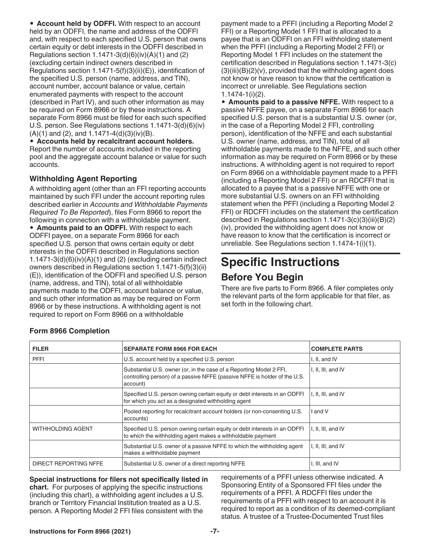• **Account held by ODFFI.** With respect to an account held by an ODFFI, the name and address of the ODFFI and, with respect to each specified U.S. person that owns certain equity or debt interests in the ODFFI described in Regulations section  $1.1471-3(d)(6)(iv)(A)(1)$  and  $(2)$ (excluding certain indirect owners described in Regulations section 1.1471-5(f)(3)(ii)(E)), identification of the specified U.S. person (name, address, and TIN), account number, account balance or value, certain enumerated payments with respect to the account (described in Part IV), and such other information as may be required on Form 8966 or by these instructions. A separate Form 8966 must be filed for each such specified U.S. person. See Regulations sections 1.1471-3(d)(6)(iv)  $(A)(1)$  and  $(2)$ , and  $1.1471-4(d)(3)(iv)(B)$ .

• **Accounts held by recalcitrant account holders.**  Report the number of accounts included in the reporting pool and the aggregate account balance or value for such accounts.

#### **Withholding Agent Reporting**

A withholding agent (other than an FFI reporting accounts maintained by such FFI under the account reporting rules described earlier in *Accounts and Withholdable Payments Required To Be Reported*), files Form 8966 to report the following in connection with a withholdable payment. • **Amounts paid to an ODFFI.** With respect to each ODFFI payee, on a separate Form 8966 for each specified U.S. person that owns certain equity or debt interests in the ODFFI described in Regulations section  $1.1471-3(d)(6)(iv)(A)(1)$  and (2) (excluding certain indirect owners described in Regulations section 1.1471-5(f)(3)(ii) (E)), identification of the ODFFI and specified U.S. person (name, address, and TIN), total of all withholdable payments made to the ODFFI, account balance or value, and such other information as may be required on Form 8966 or by these instructions. A withholding agent is not required to report on Form 8966 on a withholdable

payment made to a PFFI (including a Reporting Model 2 FFI) or a Reporting Model 1 FFI that is allocated to a payee that is an ODFFI on an FFI withholding statement when the PFFI (including a Reporting Model 2 FFI) or Reporting Model 1 FFI includes on the statement the certification described in Regulations section 1.1471-3(c)  $(3)(iii)(B)(2)(v)$ , provided that the withholding agent does not know or have reason to know that the certification is incorrect or unreliable. See Regulations section 1.1474-1(i)(2).

• **Amounts paid to a passive NFFE.** With respect to a passive NFFE payee, on a separate Form 8966 for each specified U.S. person that is a substantial U.S. owner (or, in the case of a Reporting Model 2 FFI, controlling person), identification of the NFFE and each substantial U.S. owner (name, address, and TIN), total of all withholdable payments made to the NFFE, and such other information as may be required on Form 8966 or by these instructions. A withholding agent is not required to report on Form 8966 on a withholdable payment made to a PFFI (including a Reporting Model 2 FFI) or an RDCFFI that is allocated to a payee that is a passive NFFE with one or more substantial U.S. owners on an FFI withholding statement when the PFFI (including a Reporting Model 2 FFI) or RDCFFI includes on the statement the certification described in Regulations section 1.1471-3(c)(3)(iii)(B)(2) (iv), provided the withholding agent does not know or have reason to know that the certification is incorrect or unreliable. See Regulations section 1.1474-1(i)(1).

## **Specific Instructions**

## **Before You Begin**

There are five parts to Form 8966. A filer completes only the relevant parts of the form applicable for that filer, as set forth in the following chart.

| <b>FILER</b>             | <b>SEPARATE FORM 8966 FOR EACH</b>                                                                                                                           | <b>COMPLETE PARTS</b> |
|--------------------------|--------------------------------------------------------------------------------------------------------------------------------------------------------------|-----------------------|
| <b>PFFI</b>              | U.S. account held by a specified U.S. person                                                                                                                 | I, II, and IV         |
|                          | Substantial U.S. owner (or, in the case of a Reporting Model 2 FFI,<br>controlling person) of a passive NFFE (passive NFFE is holder of the U.S.<br>account) | I, II, III, and IV    |
|                          | Specified U.S. person owning certain equity or debt interests in an ODFFI<br>for which you act as a designated withholding agent                             | I, II, III, and IV    |
|                          | Pooled reporting for recalcitrant account holders (or non-consenting U.S.<br>accounts)                                                                       | I and V               |
| <b>WITHHOLDING AGENT</b> | Specified U.S. person owning certain equity or debt interests in an ODFFI<br>to which the withholding agent makes a withholdable payment                     | I, II, III, and IV    |
|                          | Substantial U.S. owner of a passive NFFE to which the withholding agent<br>makes a withholdable payment                                                      | I, II, III, and IV    |
| DIRECT REPORTING NFFE    | Substantial U.S. owner of a direct reporting NFFE                                                                                                            | I, III, and IV        |

## **Form 8966 Completion**

**Special instructions for filers not specifically listed in chart.** For purposes of applying the specific instructions (including this chart), a withholding agent includes a U.S. branch or Territory Financial Institution treated as a U.S. person. A Reporting Model 2 FFI files consistent with the

requirements of a PFFI unless otherwise indicated. A Sponsoring Entity of a Sponsored FFI files under the requirements of a PFFI. A RDCFFI files under the requirements of a PFFI with respect to an account it is required to report as a condition of its deemed-compliant status. A trustee of a Trustee-Documented Trust files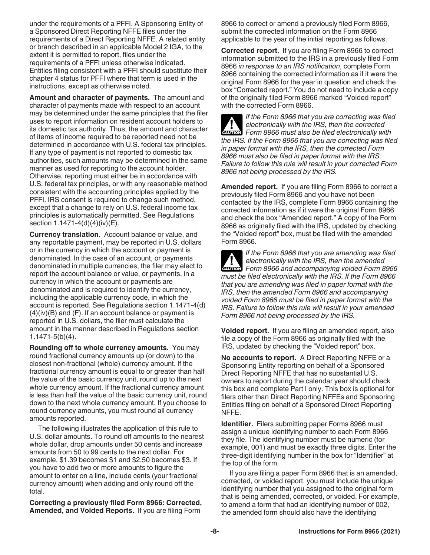under the requirements of a PFFI. A Sponsoring Entity of a Sponsored Direct Reporting NFFE files under the requirements of a Direct Reporting NFFE. A related entity or branch described in an applicable Model 2 IGA, to the extent it is permitted to report, files under the requirements of a PFFI unless otherwise indicated. Entities filing consistent with a PFFI should substitute their chapter 4 status for PFFI where that term is used in the instructions, except as otherwise noted.

**Amount and character of payments.** The amount and character of payments made with respect to an account may be determined under the same principles that the filer uses to report information on resident account holders to its domestic tax authority. Thus, the amount and character of items of income required to be reported need not be determined in accordance with U.S. federal tax principles. If any type of payment is not reported to domestic tax authorities, such amounts may be determined in the same manner as used for reporting to the account holder. Otherwise, reporting must either be in accordance with U.S. federal tax principles, or with any reasonable method consistent with the accounting principles applied by the PFFI. IRS consent is required to change such method, except that a change to rely on U.S. federal income tax principles is automatically permitted. See Regulations section 1.1471-4(d)(4)(iv)(E).

**Currency translation.** Account balance or value, and any reportable payment, may be reported in U.S. dollars or in the currency in which the account or payment is denominated. In the case of an account, or payments denominated in multiple currencies, the filer may elect to report the account balance or value, or payments, in a currency in which the account or payments are denominated and is required to identify the currency, including the applicable currency code, in which the account is reported. See Regulations section 1.1471-4(d) (4)(iv)(B) and (F). If an account balance or payment is reported in U.S. dollars, the filer must calculate the amount in the manner described in Regulations section 1.1471-5(b)(4).

**Rounding off to whole currency amounts.** You may round fractional currency amounts up (or down) to the closest non-fractional (whole) currency amount. If the fractional currency amount is equal to or greater than half the value of the basic currency unit, round up to the next whole currency amount. If the fractional currency amount is less than half the value of the basic currency unit, round down to the next whole currency amount. If you choose to round currency amounts, you must round all currency amounts reported.

The following illustrates the application of this rule to U.S. dollar amounts. To round off amounts to the nearest whole dollar, drop amounts under 50 cents and increase amounts from 50 to 99 cents to the next dollar. For example, \$1.39 becomes \$1 and \$2.50 becomes \$3. If you have to add two or more amounts to figure the amount to enter on a line, include cents (your fractional currency amount) when adding and only round off the total.

**Correcting a previously filed Form 8966: Corrected, Amended, and Voided Reports.** If you are filing Form

8966 to correct or amend a previously filed Form 8966, submit the corrected information on the Form 8966 applicable to the year of the initial reporting as follows.

**Corrected report.** If you are filing Form 8966 to correct information submitted to the IRS in a previously filed Form 8966 *in response to an IRS notification*, complete Form 8966 containing the corrected information as if it were the original Form 8966 for the year in question and check the box "Corrected report." You do not need to include a copy of the originally filed Form 8966 marked "Voided report" with the corrected Form 8966.

*If the Form 8966 that you are correcting was filed electronically with the IRS, then the corrected*  **Properties also be filed electronically with the IRS, then the corrected<br>
<b>EXUTION** Form 8966 must also be filed electronically with *the IRS. If the Form 8966 that you are correcting was filed in paper format with the IRS, then the corrected Form 8966 must also be filed in paper format with the IRS. Failure to follow this rule will result in your corrected Form 8966 not being processed by the IRS.*

**Amended report.** If you are filing Form 8966 to correct a previously filed Form 8966 and you have not been contacted by the IRS, complete Form 8966 containing the corrected information as if it were the original Form 8966 and check the box "Amended report." A copy of the Form 8966 as originally filed with the IRS, updated by checking the "Voided report" box, must be filed with the amended Form 8966.

*If the Form 8966 that you are amending was filed electronically with the IRS, then the amended*  **Properties And accompanying voided Form 8966**<br> **EXECUTION** Form 8966 and accompanying voided Form 8966 *must be filed electronically with the IRS. If the Form 8966 that you are amending was filed in paper format with the IRS, then the amended Form 8966 and accompanying voided Form 8966 must be filed in paper format with the IRS. Failure to follow this rule will result in your amended Form 8966 not being processed by the IRS.*

**Voided report.** If you are filing an amended report, also file a copy of the Form 8966 as originally filed with the IRS, updated by checking the "Voided report" box.

**No accounts to report.** A Direct Reporting NFFE or a Sponsoring Entity reporting on behalf of a Sponsored Direct Reporting NFFE that has no substantial U.S. owners to report during the calendar year should check this box and complete Part I only. This box is optional for filers other than Direct Reporting NFFEs and Sponsoring Entities filing on behalf of a Sponsored Direct Reporting NFFE.

**Identifier.** Filers submitting paper Forms 8966 must assign a unique identifying number to each Form 8966 they file. The identifying number must be numeric (for example, 001) and must be exactly three digits. Enter the three-digit identifying number in the box for "Identifier" at the top of the form.

If you are filing a paper Form 8966 that is an amended, corrected, or voided report, you must include the unique identifying number that you assigned to the original form that is being amended, corrected, or voided. For example, to amend a form that had an identifying number of 002, the amended form should also have the identifying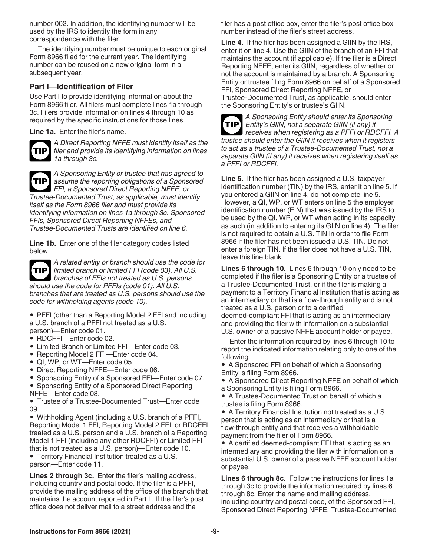number 002. In addition, the identifying number will be used by the IRS to identify the form in any correspondence with the filer.

The identifying number must be unique to each original Form 8966 filed for the current year. The identifying number can be reused on a new original form in a subsequent year.

#### **Part I—Identification of Filer**

Use Part I to provide identifying information about the Form 8966 filer. All filers must complete lines 1a through 3c. Filers provide information on lines 4 through 10 as required by the specific instructions for those lines.

**Line 1a.** Enter the filer's name.



*A Direct Reporting NFFE must identify itself as the filer and provide its identifying information on lines 1a through 3c.*



*A Sponsoring Entity or trustee that has agreed to assume the reporting obligations of a Sponsored FFI, a Sponsored Direct Reporting NFFE, or Trustee-Documented Trust, as applicable, must identify* 

*itself as the Form 8966 filer and must provide its identifying information on lines 1a through 3c. Sponsored FFIs, Sponsored Direct Reporting NFFEs, and Trustee-Documented Trusts are identified on line 6.*

**Line 1b.** Enter one of the filer category codes listed below.



*A related entity or branch should use the code for limited branch or limited FFI (code 03). All U.S. branches of FFIs not treated as U.S. persons should use the code for PFFIs (code 01). All U.S. branches that are treated as U.S. persons should use the code for withholding agents (code 10).*

• PFFI (other than a Reporting Model 2 FFI and including a U.S. branch of a PFFI not treated as a U.S. person)—Enter code 01.

- RDCFFI—Enter code 02.
- Limited Branch or Limited FFI—Enter code 03.
- Reporting Model 2 FFI—Enter code 04.
- QI, WP, or WT—Enter code 05.
- Direct Reporting NFFE—Enter code 06.

• Sponsoring Entity of a Sponsored FFI—Enter code 07.

• Sponsoring Entity of a Sponsored Direct Reporting NFFE—Enter code 08.

• Trustee of a Trustee-Documented Trust—Enter code 09.

• Withholding Agent (including a U.S. branch of a PFFI, Reporting Model 1 FFI, Reporting Model 2 FFI, or RDCFFI treated as a U.S. person and a U.S. branch of a Reporting Model 1 FFI (including any other RDCFFI) or Limited FFI that is not treated as a U.S. person)—Enter code 10.

• Territory Financial Institution treated as a U.S. person—Enter code 11.

**Lines 2 through 3c.** Enter the filer's mailing address, including country and postal code. If the filer is a PFFI, provide the mailing address of the office of the branch that maintains the account reported in Part II. If the filer's post office does not deliver mail to a street address and the

filer has a post office box, enter the filer's post office box number instead of the filer's street address.

**Line 4.** If the filer has been assigned a GIIN by the IRS, enter it on line 4. Use the GIIN of the branch of an FFI that maintains the account (if applicable). If the filer is a Direct Reporting NFFE, enter its GIIN, regardless of whether or not the account is maintained by a branch. A Sponsoring Entity or trustee filing Form 8966 on behalf of a Sponsored FFI, Sponsored Direct Reporting NFFE, or Trustee-Documented Trust, as applicable, should enter the Sponsoring Entity's or trustee's GIIN.



*A Sponsoring Entity should enter its Sponsoring Entity's GIIN, not a separate GIIN (if any) it receives when registering as a PFFI or RDCFFI. A trustee should enter the GIIN it receives when it registers to act as a trustee of a Trustee-Documented Trust, not a separate GIIN (if any) it receives when registering itself as a PFFI or RDCFFI.*

**Line 5.** If the filer has been assigned a U.S. taxpayer identification number (TIN) by the IRS, enter it on line 5. If you entered a GIIN on line 4, do not complete line 5. However, a QI, WP, or WT enters on line 5 the employer identification number (EIN) that was issued by the IRS to be used by the QI, WP, or WT when acting in its capacity as such (in addition to entering its GIIN on line 4). The filer is not required to obtain a U.S. TIN in order to file Form 8966 if the filer has not been issued a U.S. TIN. Do not enter a foreign TIN. If the filer does not have a U.S. TIN, leave this line blank.

**Lines 6 through 10.** Lines 6 through 10 only need to be completed if the filer is a Sponsoring Entity or a trustee of a Trustee-Documented Trust, or if the filer is making a payment to a Territory Financial Institution that is acting as an intermediary or that is a flow-through entity and is not treated as a U.S. person or to a certified deemed-compliant FFI that is acting as an intermediary and providing the filer with information on a substantial U.S. owner of a passive NFFE account holder or payee.

Enter the information required by lines 6 through 10 to report the indicated information relating only to one of the following.

• A Sponsored FFI on behalf of which a Sponsoring Entity is filing Form 8966.

• A Sponsored Direct Reporting NFFE on behalf of which a Sponsoring Entity is filing Form 8966.

• A Trustee-Documented Trust on behalf of which a trustee is filing Form 8966.

• A Territory Financial Institution not treated as a U.S. person that is acting as an intermediary or that is a flow-through entity and that receives a withholdable payment from the filer of Form 8966.

• A certified deemed-compliant FFI that is acting as an intermediary and providing the filer with information on a substantial U.S. owner of a passive NFFE account holder or payee.

**Lines 6 through 8c.** Follow the instructions for lines 1a through 3c to provide the information required by lines 6 through 8c. Enter the name and mailing address, including country and postal code, of the Sponsored FFI, Sponsored Direct Reporting NFFE, Trustee-Documented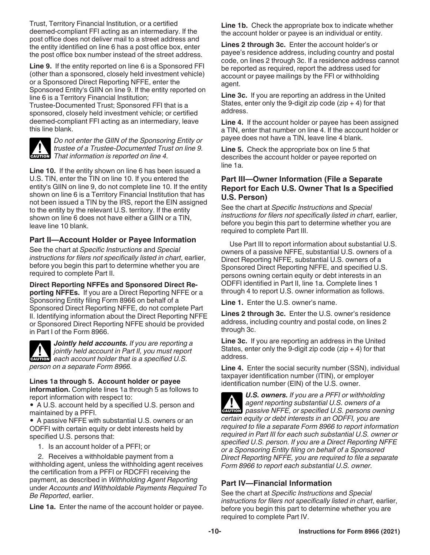Trust, Territory Financial Institution, or a certified deemed-compliant FFI acting as an intermediary. If the post office does not deliver mail to a street address and the entity identified on line 6 has a post office box, enter the post office box number instead of the street address.

**Line 9.** If the entity reported on line 6 is a Sponsored FFI (other than a sponsored, closely held investment vehicle) or a Sponsored Direct Reporting NFFE, enter the Sponsored Entity's GIIN on line 9. If the entity reported on line 6 is a Territory Financial Institution;

Trustee-Documented Trust; Sponsored FFI that is a sponsored, closely held investment vehicle; or certified deemed-compliant FFI acting as an intermediary, leave this line blank.



*Do not enter the GIIN of the Sponsoring Entity or trustee of a Trustee-Documented Trust on line 9.*  **I** *That information is reported on line 4.*<br> **CAUTION** *That information is reported on line 4.* 

**Line 10.** If the entity shown on line 6 has been issued a U.S. TIN, enter the TIN on line 10. If you entered the entity's GIIN on line 9, do not complete line 10. If the entity shown on line 6 is a Territory Financial Institution that has not been issued a TIN by the IRS, report the EIN assigned to the entity by the relevant U.S. territory. If the entity shown on line 6 does not have either a GIIN or a TIN, leave line 10 blank.

#### **Part II—Account Holder or Payee Information**

See the chart at *Specific Instructions* and *Special instructions for filers not specifically listed in chart*, earlier, before you begin this part to determine whether you are required to complete Part II.

#### **Direct Reporting NFFEs and Sponsored Direct Re-**

**porting NFFEs.** If you are a Direct Reporting NFFE or a Sponsoring Entity filing Form 8966 on behalf of a Sponsored Direct Reporting NFFE, do not complete Part II. Identifying information about the Direct Reporting NFFE or Sponsored Direct Reporting NFFE should be provided in Part I of the Form 8966.



*Jointly held accounts. If you are reporting a jointly held account in Part II, you must report*  **Property in the account in Part II, you must report each account holder that is a specified U.S.** *person on a separate Form 8966.*

#### **Lines 1a through 5. Account holder or payee**

**information.** Complete lines 1a through 5 as follows to report information with respect to:

• A U.S. account held by a specified U.S. person and maintained by a PFFI.

• A passive NFFE with substantial U.S. owners or an ODFFI with certain equity or debt interests held by specified U.S. persons that:

1. Is an account holder of a PFFI; or

2. Receives a withholdable payment from a withholding agent, unless the withholding agent receives the certification from a PFFI or RDCFFI receiving the payment, as described in *Withholding Agent Reporting*  under *Accounts and Withholdable Payments Required To Be Reported*, earlier.

**Line 1a.** Enter the name of the account holder or payee.

**Line 1b.** Check the appropriate box to indicate whether the account holder or payee is an individual or entity.

**Lines 2 through 3c.** Enter the account holder's or payee's residence address, including country and postal code, on lines 2 through 3c. If a residence address cannot be reported as required, report the address used for account or payee mailings by the FFI or withholding agent.

**Line 3c.** If you are reporting an address in the United States, enter only the 9-digit zip code ( $zip + 4$ ) for that address.

**Line 4.** If the account holder or payee has been assigned a TIN, enter that number on line 4. If the account holder or payee does not have a TIN, leave line 4 blank.

**Line 5.** Check the appropriate box on line 5 that describes the account holder or payee reported on line 1a.

#### **Part III—Owner Information (File a Separate Report for Each U.S. Owner That Is a Specified U.S. Person)**

See the chart at *Specific Instructions* and *Special instructions for filers not specifically listed in chart*, earlier, before you begin this part to determine whether you are required to complete Part III.

Use Part III to report information about substantial U.S. owners of a passive NFFE, substantial U.S. owners of a Direct Reporting NFFE, substantial U.S. owners of a Sponsored Direct Reporting NFFE, and specified U.S. persons owning certain equity or debt interests in an ODFFI identified in Part II, line 1a. Complete lines 1 through 4 to report U.S. owner information as follows.

**Line 1.** Enter the U.S. owner's name.

**Lines 2 through 3c.** Enter the U.S. owner's residence address, including country and postal code, on lines 2 through 3c.

**Line 3c.** If you are reporting an address in the United States, enter only the 9-digit zip code ( $zip + 4$ ) for that address.

**Line 4.** Enter the social security number (SSN), individual taxpayer identification number (ITIN), or employer identification number (EIN) of the U.S. owner.

*U.S. owners. If you are a PFFI or withholding agent reporting substantial U.S. owners of a*  **Passive NFFE, or specified U.S. owners of a**<br> **CAUTION** passive NFFE, or specified U.S. persons owning *certain equity or debt interests in an ODFFI, you are required to file a separate Form 8966 to report information required in Part III for each such substantial U.S. owner or specified U.S. person. If you are a Direct Reporting NFFE or a Sponsoring Entity filing on behalf of a Sponsored Direct Reporting NFFE, you are required to file a separate Form 8966 to report each substantial U.S. owner.*

## **Part IV—Financial Information**

See the chart at *Specific Instructions* and *Special instructions for filers not specifically listed in chart*, earlier, before you begin this part to determine whether you are required to complete Part IV.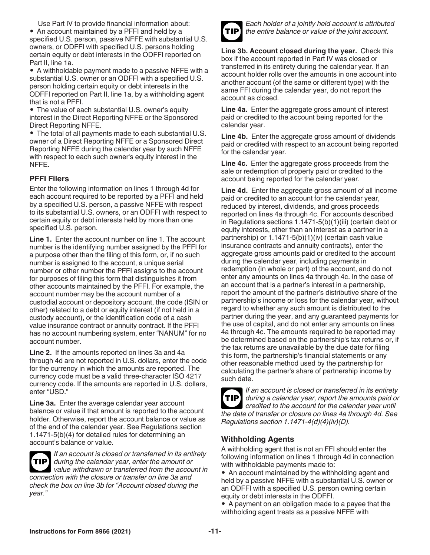Use Part IV to provide financial information about: • An account maintained by a PFFI and held by a specified U.S. person, passive NFFE with substantial U.S. owners, or ODFFI with specified U.S. persons holding certain equity or debt interests in the ODFFI reported on Part II, line 1a.

• A withholdable payment made to a passive NFFE with a substantial U.S. owner or an ODFFI with a specified U.S. person holding certain equity or debt interests in the ODFFI reported on Part II, line 1a, by a withholding agent that is not a PFFI.

• The value of each substantial U.S. owner's equity interest in the Direct Reporting NFFE or the Sponsored Direct Reporting NFFE.

• The total of all payments made to each substantial U.S. owner of a Direct Reporting NFFE or a Sponsored Direct Reporting NFFE during the calendar year by such NFFE with respect to each such owner's equity interest in the NFFE.

## **PFFI Filers**

Enter the following information on lines 1 through 4d for each account required to be reported by a PFFI and held by a specified U.S. person, a passive NFFE with respect to its substantial U.S. owners, or an ODFFI with respect to certain equity or debt interests held by more than one specified U.S. person.

Line 1. Enter the account number on line 1. The account number is the identifying number assigned by the PFFI for a purpose other than the filing of this form, or, if no such number is assigned to the account, a unique serial number or other number the PFFI assigns to the account for purposes of filing this form that distinguishes it from other accounts maintained by the PFFI. For example, the account number may be the account number of a custodial account or depository account, the code (ISIN or other) related to a debt or equity interest (if not held in a custody account), or the identification code of a cash value insurance contract or annuity contract. If the PFFI has no account numbering system, enter "NANUM" for no account number.

**Line 2.** If the amounts reported on lines 3a and 4a through 4d are not reported in U.S. dollars, enter the code for the currency in which the amounts are reported. The currency code must be a valid three-character ISO 4217 currency code. If the amounts are reported in U.S. dollars, enter "USD."

**Line 3a.** Enter the average calendar year account balance or value if that amount is reported to the account holder. Otherwise, report the account balance or value as of the end of the calendar year. See Regulations section 1.1471-5(b)(4) for detailed rules for determining an account's balance or value.



*year."*

*If an account is closed or transferred in its entirety during the calendar year, enter the amount or value withdrawn or transferred from the account in connection with the closure or transfer on line 3a and check the box on line 3b for "Account closed during the* 



*Each holder of a jointly held account is attributed the entire balance or value of the joint account.*

**Line 3b. Account closed during the year.** Check this box if the account reported in Part IV was closed or transferred in its entirety during the calendar year. If an account holder rolls over the amounts in one account into another account (of the same or different type) with the same FFI during the calendar year, do not report the account as closed.

**Line 4a.** Enter the aggregate gross amount of interest paid or credited to the account being reported for the calendar year.

**Line 4b.** Enter the aggregate gross amount of dividends paid or credited with respect to an account being reported for the calendar year.

**Line 4c.** Enter the aggregate gross proceeds from the sale or redemption of property paid or credited to the account being reported for the calendar year.

**Line 4d.** Enter the aggregate gross amount of all income paid or credited to an account for the calendar year, reduced by interest, dividends, and gross proceeds reported on lines 4a through 4c. For accounts described in Regulations sections 1.1471-5(b)(1)(iii) (certain debt or equity interests, other than an interest as a partner in a partnership) or 1.1471-5(b)(1)(iv) (certain cash value insurance contracts and annuity contracts), enter the aggregate gross amounts paid or credited to the account during the calendar year, including payments in redemption (in whole or part) of the account, and do not enter any amounts on lines 4a through 4c. In the case of an account that is a partner's interest in a partnership, report the amount of the partner's distributive share of the partnership's income or loss for the calendar year, without regard to whether any such amount is distributed to the partner during the year, and any guaranteed payments for the use of capital, and do not enter any amounts on lines 4a through 4c. The amounts required to be reported may be determined based on the partnership's tax returns or, if the tax returns are unavailable by the due date for filing this form, the partnership's financial statements or any other reasonable method used by the partnership for calculating the partner's share of partnership income by such date.



*If an account is closed or transferred in its entirety during a calendar year, report the amounts paid or*  **TIP** *credited to the account for the calendar year until the date of transfer or closure on lines 4a through 4d. See Regulations section 1.1471-4(d)(4)(iv)(D).*

## **Withholding Agents**

A withholding agent that is not an FFI should enter the following information on lines 1 through 4d in connection with withholdable payments made to:

• An account maintained by the withholding agent and held by a passive NFFE with a substantial U.S. owner or an ODFFI with a specified U.S. person owning certain equity or debt interests in the ODFFI.

• A payment on an obligation made to a payee that the withholding agent treats as a passive NFFE with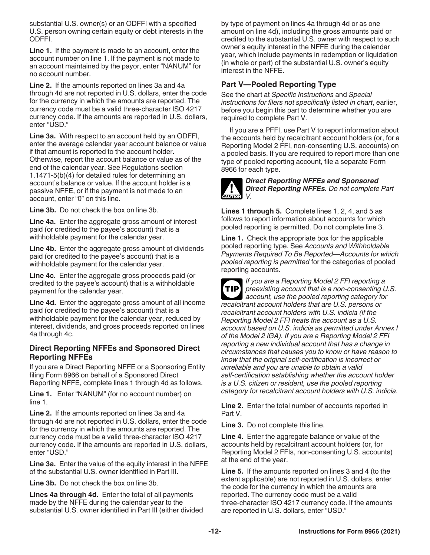substantial U.S. owner(s) or an ODFFI with a specified U.S. person owning certain equity or debt interests in the ODFFI.

**Line 1.** If the payment is made to an account, enter the account number on line 1. If the payment is not made to an account maintained by the payor, enter "NANUM" for no account number.

**Line 2.** If the amounts reported on lines 3a and 4a through 4d are not reported in U.S. dollars, enter the code for the currency in which the amounts are reported. The currency code must be a valid three-character ISO 4217 currency code. If the amounts are reported in U.S. dollars, enter "USD."

**Line 3a.** With respect to an account held by an ODFFI, enter the average calendar year account balance or value if that amount is reported to the account holder. Otherwise, report the account balance or value as of the end of the calendar year. See Regulations section 1.1471-5(b)(4) for detailed rules for determining an account's balance or value. If the account holder is a passive NFFE, or if the payment is not made to an account, enter "0" on this line.

**Line 3b.** Do not check the box on line 3b.

**Line 4a.** Enter the aggregate gross amount of interest paid (or credited to the payee's account) that is a withholdable payment for the calendar year.

**Line 4b.** Enter the aggregate gross amount of dividends paid (or credited to the payee's account) that is a withholdable payment for the calendar year.

**Line 4c.** Enter the aggregate gross proceeds paid (or credited to the payee's account) that is a withholdable payment for the calendar year.

**Line 4d.** Enter the aggregate gross amount of all income paid (or credited to the payee's account) that is a withholdable payment for the calendar year, reduced by interest, dividends, and gross proceeds reported on lines 4a through 4c.

#### **Direct Reporting NFFEs and Sponsored Direct Reporting NFFEs**

If you are a Direct Reporting NFFE or a Sponsoring Entity filing Form 8966 on behalf of a Sponsored Direct Reporting NFFE, complete lines 1 through 4d as follows.

**Line 1.** Enter "NANUM" (for no account number) on line 1.

**Line 2.** If the amounts reported on lines 3a and 4a through 4d are not reported in U.S. dollars, enter the code for the currency in which the amounts are reported. The currency code must be a valid three-character ISO 4217 currency code. If the amounts are reported in U.S. dollars, enter "USD."

**Line 3a.** Enter the value of the equity interest in the NFFE of the substantial U.S. owner identified in Part III.

**Line 3b.** Do not check the box on line 3b.

**Lines 4a through 4d.** Enter the total of all payments made by the NFFE during the calendar year to the substantial U.S. owner identified in Part III (either divided by type of payment on lines 4a through 4d or as one amount on line 4d), including the gross amounts paid or credited to the substantial U.S. owner with respect to such owner's equity interest in the NFFE during the calendar year, which include payments in redemption or liquidation (in whole or part) of the substantial U.S. owner's equity interest in the NFFE.

#### **Part V—Pooled Reporting Type**

See the chart at *Specific Instructions* and *Special instructions for filers not specifically listed in chart*, earlier, before you begin this part to determine whether you are required to complete Part V.

If you are a PFFI, use Part V to report information about the accounts held by recalcitrant account holders (or, for a Reporting Model 2 FFI, non-consenting U.S. accounts) on a pooled basis. If you are required to report more than one type of pooled reporting account, file a separate Form 8966 for each type.



#### *Direct Reporting NFFEs and Sponsored Direct Reporting NFFEs. Do not complete Part V.*

**Lines 1 through 5.** Complete lines 1, 2, 4, and 5 as follows to report information about accounts for which pooled reporting is permitted. Do not complete line 3.

**Line 1.** Check the appropriate box for the applicable pooled reporting type. See *Accounts and Withholdable Payments Required To Be Reported—Accounts for which pooled reporting is permitted* for the categories of pooled reporting accounts.

*If you are a Reporting Model 2 FFI reporting a preexisting account that is a non-consenting U.S. account, use the pooled reporting category for recalcitrant account holders that are U.S. persons or recalcitrant account holders with U.S. indicia (if the Reporting Model 2 FFI treats the account as a U.S. account based on U.S. indicia as permitted under Annex I of the Model 2 IGA). If you are a Reporting Model 2 FFI reporting a new individual account that has a change in circumstances that causes you to know or have reason to know that the original self-certification is incorrect or unreliable and you are unable to obtain a valid self-certification establishing whether the account holder is a U.S. citizen or resident, use the pooled reporting category for recalcitrant account holders with U.S. indicia.* **TIP**

**Line 2.** Enter the total number of accounts reported in Part V.

**Line 3.** Do not complete this line.

**Line 4.** Enter the aggregate balance or value of the accounts held by recalcitrant account holders (or, for Reporting Model 2 FFIs, non-consenting U.S. accounts) at the end of the year.

**Line 5.** If the amounts reported on lines 3 and 4 (to the extent applicable) are not reported in U.S. dollars, enter the code for the currency in which the amounts are reported. The currency code must be a valid three-character ISO 4217 currency code. If the amounts are reported in U.S. dollars, enter "USD."